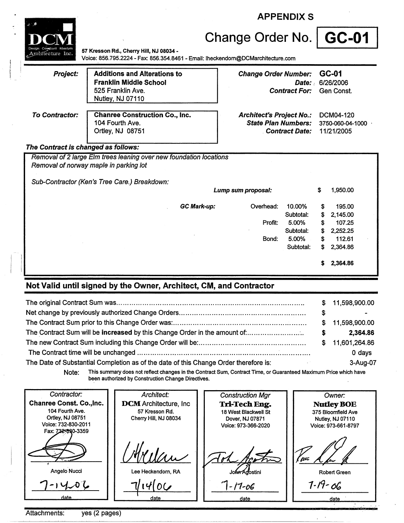|                       | <b>APPENDIX S</b>                                                                                                           |                                                                                                      |                               |  |
|-----------------------|-----------------------------------------------------------------------------------------------------------------------------|------------------------------------------------------------------------------------------------------|-------------------------------|--|
|                       |                                                                                                                             | Change Order No.   GC-01                                                                             |                               |  |
| atecture Inc.         | 57 Kresson Rd., Cherry Hill, NJ 08034 -<br>Voice: 856.795.2224 - Fax: 856.354.8461 - Email: lheckendorn@DCMarchitecture.com |                                                                                                      |                               |  |
| <b>Project:</b>       | <b>Additions and Alterations to</b><br><b>Franklin Middle School</b><br>525 Franklin Ave.<br>Nutley, NJ 07110               | GC-01<br><b>Change Order Number:</b><br>Date: 6/26/2006<br><b>Contract For:</b><br>Gen Const.        |                               |  |
| <b>To Contractor:</b> | <b>Chanree Construction Co., Inc.</b><br>104 Fourth Ave.<br>Ortley, NJ 08751                                                | <b>Architect's Project No.:</b><br><b>State Plan Numbers:</b><br><b>Contract Date:</b><br>11/21/2005 | DCM04-120<br>3750-060-04-1000 |  |
|                       | The Contract is changed as follows:                                                                                         |                                                                                                      |                               |  |
|                       | Removal of 2 large Elm trees leaning over new foundation locations<br>Removal of norway maple in parking lot                |                                                                                                      |                               |  |
|                       | Sub-Contractor (Ken's Tree Care.) Breakdown:                                                                                | 1,950.00<br>Lump sum proposal:<br>\$                                                                 |                               |  |
|                       |                                                                                                                             |                                                                                                      |                               |  |
|                       |                                                                                                                             | <b>GC Mark-up:</b><br>Overhead:<br>10.00%<br>195.00<br>S                                             |                               |  |
|                       |                                                                                                                             | Subtotal:<br>2,145.00<br>S<br>5.00%<br>107.25<br>Profit:<br>S                                        |                               |  |
|                       |                                                                                                                             | Subtotal:<br>S<br>2,252.25                                                                           |                               |  |
|                       |                                                                                                                             | 5.00%<br>112.61<br>Bond:<br>S                                                                        |                               |  |
|                       |                                                                                                                             | Subtotal:<br>\$<br>2,364.86                                                                          |                               |  |
|                       |                                                                                                                             | 2,364.86<br>S                                                                                        |                               |  |

## **Not Valid until signed by the Owner, Architect, CM, and Contractor**

|                                                                                                                                                                                                                                                                      | S. | 11,598,900.00   |
|----------------------------------------------------------------------------------------------------------------------------------------------------------------------------------------------------------------------------------------------------------------------|----|-----------------|
|                                                                                                                                                                                                                                                                      | S  | $\blacksquare$  |
|                                                                                                                                                                                                                                                                      |    | \$11,598,900.00 |
|                                                                                                                                                                                                                                                                      | S  | 2,364.86        |
|                                                                                                                                                                                                                                                                      |    | \$11,601,264.86 |
|                                                                                                                                                                                                                                                                      |    | 0 days          |
| The Date of Substantial Completion as of the date of this Change Order therefore is:<br>$\mathcal{L}^{\mathcal{L}}(\mathcal{L}^{\mathcal{L}})$ and $\mathcal{L}^{\mathcal{L}}(\mathcal{L}^{\mathcal{L}})$ and $\mathcal{L}^{\mathcal{L}}(\mathcal{L}^{\mathcal{L}})$ |    | 3-Aug-07        |

**Note:** This summary does not reflect changes in the Contract Sum, Contract Time, or Guaranteed Maximum Price which have been authorized by Construction Change Directives.

 $\overline{\phantom{a}}$ 

| Architect:                    | <b>Construction Mgr</b>                         | Owner:                                          |
|-------------------------------|-------------------------------------------------|-------------------------------------------------|
| <b>DCM</b> Architecture, Inc. | Tri-Tech Eng.                                   | <b>Nutley BOE</b>                               |
|                               |                                                 | 375 Bloomfield Ave<br>Nutley, NJ 07110          |
|                               | Voice: 973-366-2020                             | Voice: 973-661-8797                             |
| dN1/m                         |                                                 | [ pcc                                           |
| Lee Heckendorn, RA            | John Adostini                                   | Robert Green                                    |
|                               | $-17 - 06$                                      | $7 - 19 - 06$<br>date                           |
|                               | 57 Kresson Rd.<br>Cherry Hill, NJ 08034<br>date | 18 West Blackwell St<br>Dover, NJ 07871<br>date |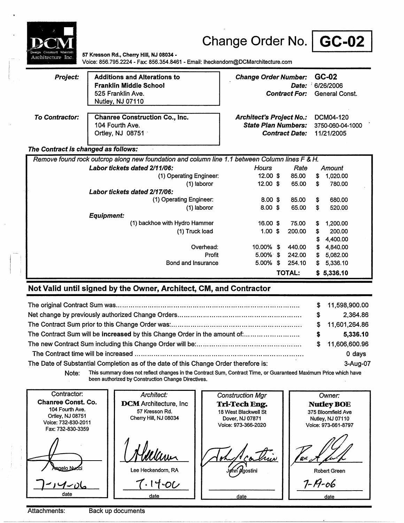

# Change Order No. | GC-02

**57 Kresson Rd., Cherry** Hill, **NJ 08034** • Voice: 856.795.2224 - Fax: 856.354.8461 - Email: lheckendom@DCMarchitecture.com

| <b>Project:</b>                                                                                | <b>Additions and Alterations to</b><br><b>Franklin Middle School</b><br>525 Franklin Ave.<br>Nutley, NJ 07110 | <b>Change Order Number:</b>                                                            | Date:<br><b>Contract For:</b> | GC-02<br>$-6/26/2006$<br>General Const.     |  |  |
|------------------------------------------------------------------------------------------------|---------------------------------------------------------------------------------------------------------------|----------------------------------------------------------------------------------------|-------------------------------|---------------------------------------------|--|--|
| To Contractor:                                                                                 | <b>Chanree Construction Co., Inc.</b><br>104 Fourth Ave.<br>Ortley, NJ 08751                                  | <b>Architect's Project No.:</b><br><b>State Plan Numbers:</b><br><b>Contract Date:</b> |                               | DCM04-120<br>3750-060-04-1000<br>11/21/2005 |  |  |
| The Contract is changed as follows:                                                            |                                                                                                               |                                                                                        |                               |                                             |  |  |
| Remove found rock outcrop along new foundation and column line 1.1 between Column lines F & H. |                                                                                                               |                                                                                        |                               |                                             |  |  |
|                                                                                                | Labor tickets dated 2/11/06:                                                                                  | <b>Hours</b>                                                                           | Rate                          | Amount                                      |  |  |
|                                                                                                | (1) Operating Engineer:                                                                                       | $12.00$ \$                                                                             | 85.00                         | 1,020.00<br>s.                              |  |  |
|                                                                                                | (1) laboror                                                                                                   | $12.00$ \$                                                                             | 65.00                         | 780.00<br>\$                                |  |  |
|                                                                                                | Labor tickets dated 2/17/06:                                                                                  |                                                                                        |                               |                                             |  |  |
|                                                                                                | (1) Operating Engineer:                                                                                       | $8.00$ \$                                                                              | 85.00                         | S.<br>680.00                                |  |  |
|                                                                                                | (1) laboror                                                                                                   | $8.00 \text{ }$ \$                                                                     | 65.00                         | S.<br>520.00                                |  |  |
|                                                                                                | <b>Equipment:</b>                                                                                             |                                                                                        |                               |                                             |  |  |
|                                                                                                | (1) backhoe with Hydro Hammer                                                                                 | 16.00 \$                                                                               | 75.00                         | 1.200.00<br>S                               |  |  |
|                                                                                                | (1) Truck load                                                                                                | $1.00 \text{ }$ \$                                                                     | 200.00                        | \$<br>200.00                                |  |  |
|                                                                                                |                                                                                                               |                                                                                        |                               | 4,400.00<br>S                               |  |  |
|                                                                                                | Overhead:                                                                                                     | 10.00% \$                                                                              | 440.00                        | \$<br>4,840.00                              |  |  |
|                                                                                                | Profit                                                                                                        | $5.00\%$ \$                                                                            | 242.00                        | S<br>5.082.00                               |  |  |
|                                                                                                | Bond and Insurance                                                                                            | 5.00%                                                                                  | \$<br>254.10                  | 5.336.10<br>S                               |  |  |
|                                                                                                |                                                                                                               |                                                                                        | <b>TOTAL:</b>                 | \$5,336.10                                  |  |  |

### **Not Valid until signed by the Owner, Architect, CM, and Contractor**

|                                                                                      |    | \$11,598,900.00 |
|--------------------------------------------------------------------------------------|----|-----------------|
|                                                                                      | S. | 2.364.86        |
|                                                                                      |    | \$11,601,264.86 |
| The Contract Sum will be increased by this Change Order in the amount of:            | S  | 5,336.10        |
|                                                                                      | S. | 11,606,600.96   |
|                                                                                      |    | 0 days          |
| The Date of Substantial Completion as of the date of this Change Order therefore is: |    | 3-Aug-07        |

Note: This summary does not reflect changes in the Contract Sum, Contract Time, or Guaranteed Maximum Price which have been authorized by Construction Change Directives.

Contractor: Architect: Construction Mgr Owner: Chanree Const. Co. **DCM** Architecture, Inc **NutleyBOE Tri-Tech Eng.**  104 Fourth Ave. 57 Kresson Rd. 18 West Blackwell St 375 Bloomfield Ave Ortley, NJ 08751 Cherry Hill, NJ 08034 Dover, NJ 07871 Nutley, NJ 07110 Voice: 732-830-2011 Voice: 973-366-2020 Voice: 973-661-8797 Fax:732-830-3359 triv Winn 'AL aelo Nu Lee Heckendom, RA Robert Green gostini  $7 - 19 - 06$  $\cdot$ 14-0 $\omega$ 1~小 date date date date

Attachments: Back up documents